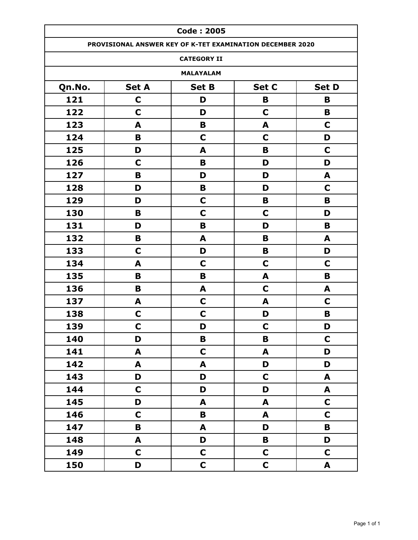|        |              | <b>Code: 2005</b>                                         |              |              |
|--------|--------------|-----------------------------------------------------------|--------------|--------------|
|        |              | PROVISIONAL ANSWER KEY OF K-TET EXAMINATION DECEMBER 2020 |              |              |
|        |              | <b>CATEGORY II</b>                                        |              |              |
|        |              | <b>MALAYALAM</b>                                          |              |              |
| Qn.No. | <b>Set A</b> | <b>Set B</b>                                              | Set C        | <b>Set D</b> |
| 121    | $\mathbf C$  | D                                                         | B            | B            |
| 122    | $\mathbf C$  | D                                                         | C            | B            |
| 123    | A            | B                                                         | A            | $\mathbf C$  |
| 124    | B            | C                                                         | C            | D            |
| 125    | D            | A                                                         | B            | $\mathbf C$  |
| 126    | C            | B                                                         | D            | D            |
| 127    | B            | D                                                         | D            | A            |
| 128    | D            | B                                                         | D            | $\mathbf C$  |
| 129    | D            | $\mathbf C$                                               | B            | B            |
| 130    | B            | $\mathbf C$                                               | C            | D            |
| 131    | D            | B                                                         | D            | B            |
| 132    | B            | A                                                         | B            | A            |
| 133    | C            | D                                                         | B            | D            |
| 134    | A            | $\mathbf C$                                               | $\mathbf C$  | C            |
| 135    | B            | B                                                         | A            | B            |
| 136    | B            | A                                                         | C            | A            |
| 137    | A            | $\mathbf C$                                               | A            | C            |
| 138    | C            | C                                                         | D            | B            |
| 139    | C            | D                                                         | C            | D            |
| 140    | D            | B                                                         | B            | $\mathbf C$  |
| 141    | A            | $\mathsf{C}$                                              | A            | D            |
| 142    | A            | A                                                         | D            | D            |
| 143    | D            | D                                                         | $\mathbf C$  | A            |
| 144    | $\mathbf C$  | D                                                         | D            | A            |
| 145    | D            | A                                                         | A            | $\mathbf C$  |
| 146    | $\mathbf C$  | B                                                         | A            | $\mathbf C$  |
| 147    | B            | A                                                         | D            | $\mathbf B$  |
| 148    | A            | D                                                         | B            | D            |
| 149    | $\mathbf C$  | $\mathbf C$                                               | $\mathbf C$  | $\mathbf C$  |
| 150    | D            | $\mathbf C$                                               | $\mathsf{C}$ | A            |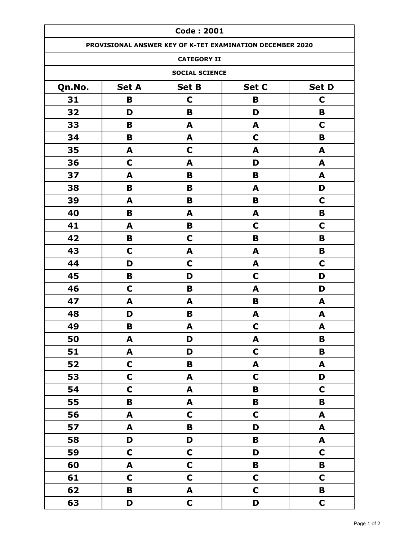| <b>Code: 2001</b>                                        |                         |                           |                                                           |             |  |  |
|----------------------------------------------------------|-------------------------|---------------------------|-----------------------------------------------------------|-------------|--|--|
|                                                          |                         |                           | PROVISIONAL ANSWER KEY OF K-TET EXAMINATION DECEMBER 2020 |             |  |  |
|                                                          |                         | <b>CATEGORY II</b>        |                                                           |             |  |  |
|                                                          |                         | <b>SOCIAL SCIENCE</b>     |                                                           |             |  |  |
| Set D<br>Qn.No.<br><b>Set A</b><br><b>Set B</b><br>Set C |                         |                           |                                                           |             |  |  |
| 31                                                       | B                       | $\mathbf C$               | B                                                         | C           |  |  |
| 32                                                       | D                       | B                         | D                                                         | B           |  |  |
| 33                                                       | B                       | A                         | A                                                         | C           |  |  |
| 34                                                       | B                       | A                         | C                                                         | B           |  |  |
| 35                                                       | A                       | $\mathbf C$               | A                                                         | A           |  |  |
| 36                                                       | $\mathbf C$             | A                         | D                                                         | A           |  |  |
| 37                                                       | A                       | B                         | B                                                         | A           |  |  |
| 38                                                       | B                       | B                         | A                                                         | D           |  |  |
| 39                                                       | A                       | B                         | B                                                         | C           |  |  |
| 40                                                       | B                       | A                         | A                                                         | B           |  |  |
| 41                                                       | A                       | B                         | $\mathbf C$                                               | C           |  |  |
| 42                                                       | В                       | $\mathbf C$               | B                                                         | B           |  |  |
| 43                                                       | C                       | A                         | A                                                         | B           |  |  |
| 44                                                       | D                       | $\mathbf C$               | A                                                         | C           |  |  |
| 45                                                       | B                       | D                         | $\mathbf C$                                               | D           |  |  |
| 46                                                       | $\mathbf C$             | B                         | A                                                         | D           |  |  |
| 47                                                       | A                       | A                         | B                                                         | A           |  |  |
| 48                                                       | D                       | B                         | A                                                         | A           |  |  |
| 49                                                       | B                       | A                         | $\mathbf C$                                               | A           |  |  |
| 50                                                       | A                       | D                         | A                                                         | $\mathbf B$ |  |  |
| 51                                                       | A                       | D                         | $\mathbf C$                                               | B           |  |  |
| 52                                                       | $\mathbf C$             | B                         | $\blacktriangle$                                          | A           |  |  |
| 53                                                       | $\mathbf C$             | A                         | $\mathbf C$                                               | D           |  |  |
| 54                                                       | $\mathsf{C}$            | A                         | $\mathbf B$                                               | $\mathbf C$ |  |  |
| 55                                                       | $\overline{\mathbf{B}}$ | $\boldsymbol{\mathsf{A}}$ | $\mathbf B$                                               | B           |  |  |
| 56                                                       | A                       | $\mathbf C$               | $\mathbf C$                                               | A           |  |  |
| 57                                                       | A                       | B                         | D                                                         | A           |  |  |
| 58                                                       | D                       | D                         | $\, {\bf B}$                                              | A           |  |  |
| 59                                                       | $\mathbf C$             | $\mathbf C$               | D                                                         | $\mathbf C$ |  |  |
| 60                                                       | A                       | $\mathsf{C}$              | $\pmb B$                                                  | B           |  |  |
| 61                                                       | $\mathbf C$             | $\mathsf{C}$              | $\mathbf C$                                               | $\mathbf C$ |  |  |
| 62                                                       | B                       | $\blacktriangle$          | $\mathbf C$                                               | B           |  |  |
| 63                                                       | D                       | $\mathsf{C}$              | D                                                         | $\mathbf C$ |  |  |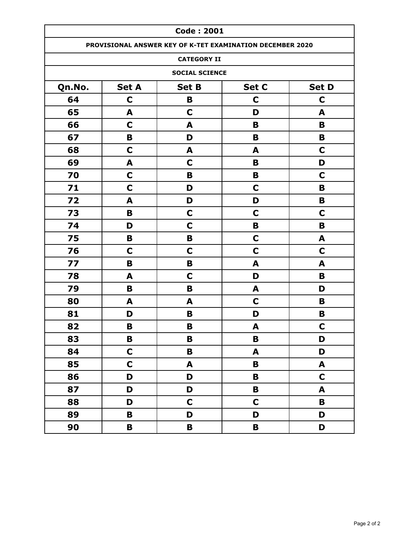|        | <b>Code: 2001</b> |                       |                                                           |              |  |
|--------|-------------------|-----------------------|-----------------------------------------------------------|--------------|--|
|        |                   |                       | PROVISIONAL ANSWER KEY OF K-TET EXAMINATION DECEMBER 2020 |              |  |
|        |                   | <b>CATEGORY II</b>    |                                                           |              |  |
|        |                   | <b>SOCIAL SCIENCE</b> |                                                           |              |  |
| Qn.No. | <b>Set A</b>      | <b>Set B</b>          | Set C                                                     | <b>Set D</b> |  |
| 64     | $\mathbf C$       | B                     | C                                                         | $\mathbf C$  |  |
| 65     | A                 | $\mathbf C$           | D                                                         | A            |  |
| 66     | C                 | A                     | B                                                         | B            |  |
| 67     | B                 | D                     | B                                                         | B            |  |
| 68     | C                 | A                     | A                                                         | $\mathbf C$  |  |
| 69     | A                 | C                     | B                                                         | D            |  |
| 70     | C                 | B                     | B                                                         | C            |  |
| 71     | C                 | D                     | $\mathbf C$                                               | B            |  |
| 72     | A                 | D                     | D                                                         | B            |  |
| 73     | B                 | $\mathbf C$           | C                                                         | $\mathbf C$  |  |
| 74     | D                 | $\mathbf C$           | B                                                         | B            |  |
| 75     | B                 | B                     | C                                                         | A            |  |
| 76     | C                 | C                     | C                                                         | C            |  |
| 77     | B                 | B                     | A                                                         | A            |  |
| 78     | A                 | C                     | D                                                         | B            |  |
| 79     | B                 | В                     | A                                                         | D            |  |
| 80     | A                 | A                     | C                                                         | B            |  |
| 81     | D                 | B                     | D                                                         | B            |  |
| 82     | B                 | B                     | A                                                         | $\mathbf C$  |  |
| 83     | B                 | B                     | $\mathbf B$                                               | D            |  |
| 84     | $\mathbf C$       | B                     | A                                                         | D            |  |
| 85     | $\mathbf C$       | A                     | B                                                         | A            |  |
| 86     | D                 | D                     | B                                                         | $\mathbf C$  |  |
| 87     | D                 | D                     | B                                                         | A            |  |
| 88     | D                 | $\mathbf C$           | $\mathbf C$                                               | B            |  |
| 89     | B                 | D                     | D                                                         | D            |  |
| 90     | B                 | B                     | B                                                         | D            |  |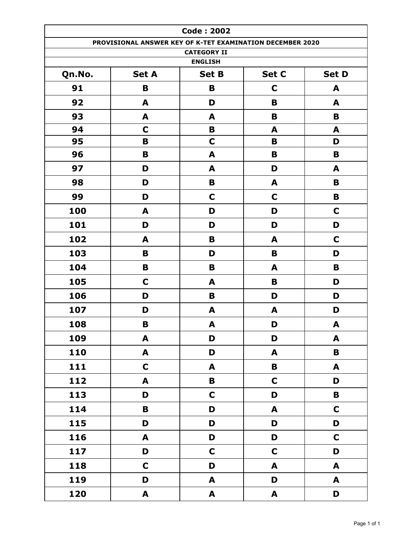|        | <b>Code: 2002</b>                                         |                                      |                  |              |  |
|--------|-----------------------------------------------------------|--------------------------------------|------------------|--------------|--|
|        | PROVISIONAL ANSWER KEY OF K-TET EXAMINATION DECEMBER 2020 |                                      |                  |              |  |
|        |                                                           | <b>CATEGORY II</b><br><b>ENGLISH</b> |                  |              |  |
| Qn.No. | <b>Set A</b>                                              | <b>Set B</b>                         | Set C            | <b>Set D</b> |  |
| 91     | B                                                         | B                                    | $\mathbf C$      | A            |  |
| 92     | A                                                         | D                                    | B                | A            |  |
| 93     | A                                                         | A                                    | B                | B            |  |
| 94     | C                                                         | B                                    | A                | A            |  |
| 95     | B                                                         | $\mathbf C$                          | B                | D            |  |
| 96     | B                                                         | A                                    | B                | B            |  |
| 97     | D                                                         | A                                    | D                | A            |  |
| 98     | D                                                         | B                                    | A                | B            |  |
| 99     | D                                                         | C                                    | $\mathbf C$      | B            |  |
| 100    | A                                                         | D                                    | D                | C            |  |
| 101    | D                                                         | D                                    | D                | D            |  |
| 102    | A                                                         | B                                    | A                | $\mathbf C$  |  |
| 103    | B                                                         | D                                    | B                | D            |  |
| 104    | B                                                         | B                                    | A                | B            |  |
| 105    | C                                                         | A                                    | B                | D            |  |
| 106    | D                                                         | B                                    | D                | D            |  |
| 107    | D                                                         | A                                    | A                | D            |  |
| 108    | B                                                         | A                                    | D                | A            |  |
| 109    | A                                                         | D                                    | D                | A            |  |
| 110    | A                                                         | D                                    | $\blacktriangle$ | B            |  |
| 111    | $\mathbf C$                                               | A                                    | B                | A            |  |
| 112    | A                                                         | $\mathbf B$                          | $\mathbf C$      | D            |  |
| 113    | D                                                         | $\mathbf C$                          | D                | $\mathbf B$  |  |
| 114    | B                                                         | D                                    | $\blacktriangle$ | $\mathbf C$  |  |
| 115    | D                                                         | D                                    | D                | D            |  |
| 116    | A                                                         | D                                    | D                | $\mathbf C$  |  |
| 117    | D                                                         | $\mathbf C$                          | $\mathbf C$      | D            |  |
| 118    | $\mathbf C$                                               | D                                    | A                | A            |  |
| 119    | D                                                         | A                                    | D                | A            |  |
| 120    | A                                                         | A                                    | $\blacktriangle$ | D            |  |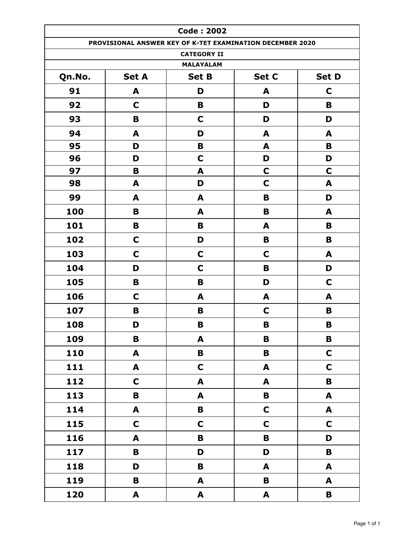|                  |              | <b>Code: 2002</b>                                         |              |              |  |  |
|------------------|--------------|-----------------------------------------------------------|--------------|--------------|--|--|
|                  |              | PROVISIONAL ANSWER KEY OF K-TET EXAMINATION DECEMBER 2020 |              |              |  |  |
|                  |              | <b>CATEGORY II</b>                                        |              |              |  |  |
| <b>MALAYALAM</b> |              |                                                           |              |              |  |  |
| Qn.No.           | <b>Set A</b> | <b>Set B</b>                                              | Set C        | <b>Set D</b> |  |  |
| 91               | A            | D                                                         | A            | C            |  |  |
| 92               | C            | B                                                         | D            | B            |  |  |
| 93               | B            | $\mathbf C$                                               | D            | D            |  |  |
| 94               | A            | D                                                         | A            | A            |  |  |
| 95               | D            | B                                                         | A            | B            |  |  |
| 96               | D            | $\mathbf C$                                               | D            | D            |  |  |
| 97               | B            | A                                                         | C            | C            |  |  |
| 98               | A            | D                                                         | $\mathbf C$  | A            |  |  |
| 99               | A            | A                                                         | B            | D            |  |  |
| 100              | B            | A                                                         | B            | A            |  |  |
| 101              | B            | B                                                         | A            | B            |  |  |
| 102              | C            | D                                                         | B            | B            |  |  |
| 103              | $\mathbf C$  | $\mathbf C$                                               | $\mathbf C$  | A            |  |  |
| 104              | D            | $\mathbf C$                                               | B            | D            |  |  |
| 105              | В            | B                                                         | D            | C            |  |  |
| 106              | C            | A                                                         | A            | A            |  |  |
| 107              | B            | B                                                         | C            | B            |  |  |
| 108              | D            | B                                                         | B            | B            |  |  |
| 109              | B            | A                                                         | $\mathbf B$  | $\mathbf B$  |  |  |
| 110              | A            | $\pmb B$                                                  | B            | $\mathbf C$  |  |  |
| 111              | A            | $\mathbf C$                                               | A            | $\mathbf C$  |  |  |
| 112              | $\mathbf C$  | A                                                         | A            | $\mathbf B$  |  |  |
| 113              | B            | A                                                         | B            | A            |  |  |
| 114              | A            | $\mathbf B$                                               | $\mathbf C$  | A            |  |  |
| 115              | $\mathbf C$  | $\mathbf C$                                               | $\mathbf C$  | $\mathbf C$  |  |  |
| 116              | A            | $\mathbf B$                                               | $\mathbf B$  | D            |  |  |
| 117              | $\mathbf B$  | D                                                         | D            | $\mathbf B$  |  |  |
| 118              | D            | $\mathbf B$                                               | A            | A            |  |  |
| 119              | B            | A                                                         | B            | A            |  |  |
| 120              | A            | A                                                         | $\mathbf{A}$ | B            |  |  |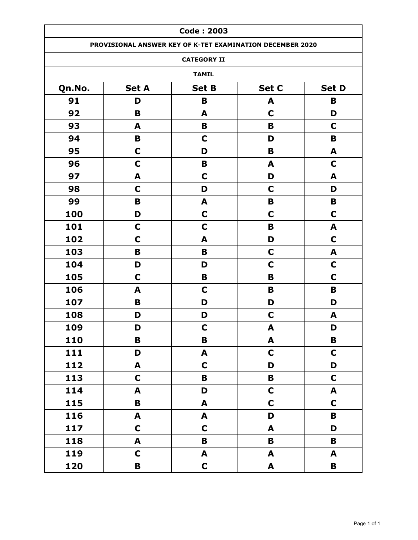|        |              | <b>Code: 2003</b>       |                                                           |              |
|--------|--------------|-------------------------|-----------------------------------------------------------|--------------|
|        |              |                         | PROVISIONAL ANSWER KEY OF K-TET EXAMINATION DECEMBER 2020 |              |
|        |              | <b>CATEGORY II</b>      |                                                           |              |
|        |              | <b>TAMIL</b>            |                                                           |              |
| Qn.No. | <b>Set A</b> | <b>Set B</b>            | Set C                                                     | <b>Set D</b> |
| 91     | D            | B                       | A                                                         | B            |
| 92     | B            | A                       | $\mathbf C$                                               | D            |
| 93     | A            | B                       | B                                                         | C            |
| 94     | B            | $\mathbf C$             | D                                                         | B            |
| 95     | $\mathbf C$  | D                       | B                                                         | A            |
| 96     | $\mathbf C$  | B                       | A                                                         | C            |
| 97     | A            | $\mathbf C$             | D                                                         | A            |
| 98     | C            | D                       | C                                                         | D            |
| 99     | B            | A                       | B                                                         | B            |
| 100    | D            | $\mathbf C$             | $\mathbf C$                                               | $\mathbf C$  |
| 101    | $\mathbf C$  | C                       | B                                                         | A            |
| 102    | $\mathbf C$  | A                       | D                                                         | $\mathbf C$  |
| 103    | B            | B                       | $\mathbf C$                                               | A            |
| 104    | D            | D                       | $\mathbf C$                                               | C            |
| 105    | C            | B                       | B                                                         | C            |
| 106    | A            | C                       | B                                                         | B            |
| 107    | B            | D                       | D                                                         | D            |
| 108    | D            | D                       | $\mathbf C$                                               | A            |
| 109    | D            | C                       | A                                                         | D            |
| 110    | B            | $\overline{\mathbf{B}}$ | $\mathbf{A}$                                              | $\mathbf B$  |
| 111    | D            | A                       | $\mathbf C$                                               | $\mathbf C$  |
| 112    | A            | $\mathbf C$             | D                                                         | D            |
| 113    | $\mathbf C$  | $\overline{\mathbf{B}}$ | $\mathbf B$                                               | $\mathsf{C}$ |
| 114    | A            | D                       | $\mathsf{C}$                                              | A            |
| 115    | B            | A                       | $\mathbf C$                                               | $\mathbf C$  |
| 116    | A            | A                       | D                                                         | B            |
| 117    | $\mathbf C$  | $\mathbf C$             | A                                                         | D            |
| 118    | A            | B                       | $\mathbf B$                                               | $\mathbf B$  |
| 119    | $\mathsf{C}$ | A                       | $\blacktriangle$                                          | A            |
| 120    | B            | $\mathbf C$             | $\mathbf{A}$                                              | B            |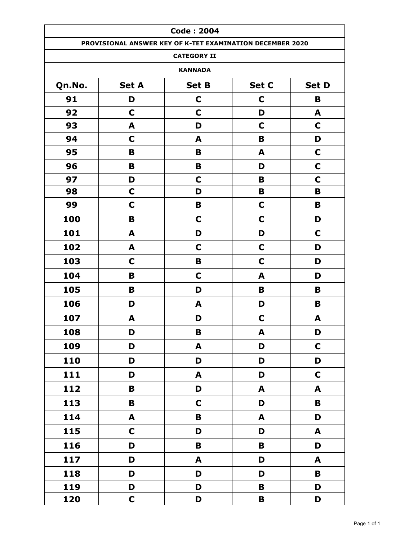|        |              | <b>Code: 2004</b>                                         |             |                  |
|--------|--------------|-----------------------------------------------------------|-------------|------------------|
|        |              | PROVISIONAL ANSWER KEY OF K-TET EXAMINATION DECEMBER 2020 |             |                  |
|        |              | <b>CATEGORY II</b>                                        |             |                  |
|        |              | <b>KANNADA</b>                                            |             |                  |
| Qn.No. | <b>Set A</b> | <b>Set B</b>                                              | Set C       | <b>Set D</b>     |
| 91     | D            | C                                                         | C           | B                |
| 92     | C            | C                                                         | D           | A                |
| 93     | A            | D                                                         | C           | $\mathbf C$      |
| 94     | C            | A                                                         | B           | D                |
| 95     | B            | B                                                         | A           | $\mathbf C$      |
| 96     | B            | B                                                         | D           | $\mathbf C$      |
| 97     | D            | $\mathbf C$                                               | B           | $\mathbf C$      |
| 98     | $\mathbf C$  | D                                                         | B           | B                |
| 99     | C            | B                                                         | $\mathbf C$ | B                |
| 100    | B            | $\mathbf C$                                               | $\mathbf C$ | D                |
| 101    | A            | D                                                         | D           | C                |
| 102    | A            | C                                                         | $\mathbf C$ | D                |
| 103    | $\mathbf C$  | B                                                         | $\mathbf C$ | D                |
| 104    | B            | $\mathbf C$                                               | A           | D                |
| 105    | B            | D                                                         | B           | B                |
| 106    | D            | A                                                         | D           | B                |
| 107    | A            | D                                                         | $\mathbf C$ | A                |
| 108    | D            | B                                                         | A           | D                |
| 109    | D            | A                                                         | D           | $\mathbf C$      |
| 110    | D            | D                                                         | D           | D                |
| 111    | D            | A                                                         | D           | $\mathbf C$      |
| 112    | $\mathbf B$  | D                                                         | A           | $\blacktriangle$ |
| 113    | $\mathbf B$  | $\mathbf C$                                               | D           | $\mathbf B$      |
| 114    | A            | $\mathbf B$                                               | A           | D                |
| 115    | $\mathbf C$  | D                                                         | D           | A                |
| 116    | D            | $\mathbf B$                                               | $\mathbf B$ | D                |
| 117    | D            | A                                                         | D           | $\blacktriangle$ |
| 118    | D            | D                                                         | D           | B                |
| 119    | D            | D                                                         | B           | D                |
| 120    | $\mathbf C$  | D                                                         | $\mathbf B$ | D                |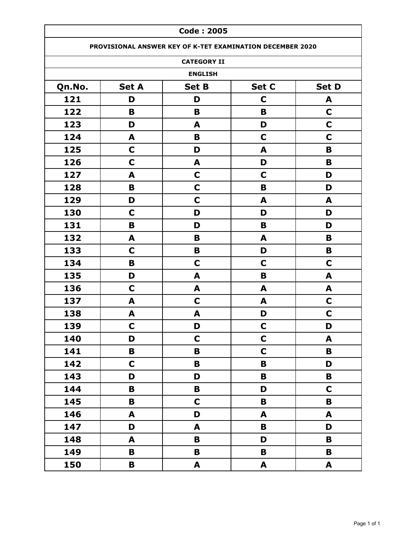|        | <b>Code: 2005</b>                                         |                    |             |              |  |
|--------|-----------------------------------------------------------|--------------------|-------------|--------------|--|
|        | PROVISIONAL ANSWER KEY OF K-TET EXAMINATION DECEMBER 2020 |                    |             |              |  |
|        |                                                           | <b>CATEGORY II</b> |             |              |  |
|        |                                                           | <b>ENGLISH</b>     |             |              |  |
| Qn.No. | <b>Set A</b>                                              | <b>Set B</b>       | Set C       | <b>Set D</b> |  |
| 121    | D                                                         | D                  | C           | A            |  |
| 122    | B                                                         | B                  | B           | $\mathbf C$  |  |
| 123    | D                                                         | A                  | D           | $\mathbf C$  |  |
| 124    | A                                                         | B                  | $\mathbf C$ | C            |  |
| 125    | $\mathbf C$                                               | D                  | A           | B            |  |
| 126    | C                                                         | A                  | D           | B            |  |
| 127    | A                                                         | $\mathbf C$        | $\mathbf C$ | D            |  |
| 128    | B                                                         | $\mathbf C$        | B           | D            |  |
| 129    | D                                                         | $\mathbf C$        | A           | A            |  |
| 130    | C                                                         | D                  | D           | D            |  |
| 131    | B                                                         | D                  | B           | D            |  |
| 132    | A                                                         | B                  | A           | B            |  |
| 133    | $\mathbf C$                                               | B                  | D           | B            |  |
| 134    | B                                                         | $\mathbf C$        | $\mathbf C$ | $\mathbf C$  |  |
| 135    | D                                                         | A                  | B           | A            |  |
| 136    | $\mathbf C$                                               | A                  | A           | A            |  |
| 137    | A                                                         | $\mathbf C$        | A           | $\mathbf C$  |  |
| 138    | A                                                         | A                  | D           | C            |  |
| 139    | $\mathbf C$                                               | D                  | C           | D            |  |
| 140    | D                                                         | $\mathbf C$        | $\mathbf C$ | A            |  |
| 141    | В                                                         | B                  | $\mathbf C$ | $\mathbf B$  |  |
| 142    | $\mathsf{C}$                                              | B                  | $\mathbf B$ | D            |  |
| 143    | D                                                         | D                  | B           | B            |  |
| 144    | В                                                         | В                  | D           | $\mathbf C$  |  |
| 145    | B                                                         | $\mathbf C$        | B           | B            |  |
| 146    | A                                                         | D                  | A           | A            |  |
| 147    | D                                                         | A                  | B           | D            |  |
| 148    | A                                                         | B                  | D           | B            |  |
| 149    | В                                                         | B                  | B           | B            |  |
| 150    | В                                                         | A                  | A           | A            |  |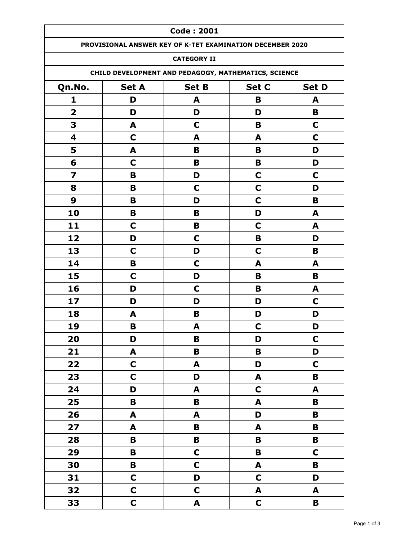|                         | <b>Code: 2001</b>                                     |                                                           |              |             |  |  |
|-------------------------|-------------------------------------------------------|-----------------------------------------------------------|--------------|-------------|--|--|
|                         |                                                       | PROVISIONAL ANSWER KEY OF K-TET EXAMINATION DECEMBER 2020 |              |             |  |  |
|                         |                                                       | <b>CATEGORY II</b>                                        |              |             |  |  |
|                         |                                                       | CHILD DEVELOPMENT AND PEDAGOGY, MATHEMATICS, SCIENCE      |              |             |  |  |
| Qn.No.                  | <b>Set A</b><br><b>Set B</b><br>Set C<br><b>Set D</b> |                                                           |              |             |  |  |
| 1                       | D                                                     | A                                                         | B            | A           |  |  |
| $\overline{\mathbf{2}}$ | D                                                     | D                                                         | D            | B           |  |  |
| 3                       | A                                                     | $\mathbf C$                                               | B            | $\mathbf C$ |  |  |
| $\overline{\mathbf{4}}$ | $\mathbf C$                                           | A                                                         | A            | C           |  |  |
| 5                       | A                                                     | B                                                         | B            | D           |  |  |
| 6                       | $\mathbf C$                                           | B                                                         | B            | D           |  |  |
| $\overline{\mathbf{z}}$ | B                                                     | D                                                         | $\mathbf C$  | C           |  |  |
| 8                       | B                                                     | C                                                         | $\mathbf C$  | D           |  |  |
| 9                       | B                                                     | D                                                         | $\mathbf C$  | B           |  |  |
| 10                      | B                                                     | B                                                         | D            | A           |  |  |
| 11                      | C                                                     | B                                                         | C            | A           |  |  |
| 12                      | D                                                     | $\mathbf C$                                               | B            | D           |  |  |
| 13                      | C                                                     | D                                                         | C            | B           |  |  |
| 14                      | B                                                     | C                                                         | A            | A           |  |  |
| 15                      | $\mathbf C$                                           | D                                                         | B            | B           |  |  |
| 16                      | D                                                     | C                                                         | B            | A           |  |  |
| 17                      | D                                                     | D                                                         | D            | C           |  |  |
| 18                      | A                                                     | B                                                         | D            | D           |  |  |
| 19                      | B                                                     | A                                                         | $\mathbf C$  | D           |  |  |
| 20                      | D                                                     | B                                                         | D            | $\mathbf C$ |  |  |
| 21                      | A                                                     | B                                                         | B            | D           |  |  |
| 22                      | $\mathbf C$                                           | A                                                         | D            | $\mathbf C$ |  |  |
| 23                      | $\mathbf C$                                           | D                                                         | A            | B           |  |  |
| 24                      | D                                                     | A                                                         | $\mathbf C$  | A           |  |  |
| 25                      | B                                                     | B                                                         | A            | B           |  |  |
| 26                      | A                                                     | A                                                         | D            | B           |  |  |
| 27                      | A                                                     | B                                                         | A            | B           |  |  |
| 28                      | B                                                     | B                                                         | B            | B           |  |  |
| 29                      | B                                                     | $\mathbf C$                                               | $\mathbf B$  | $\mathbf C$ |  |  |
| 30                      | B                                                     | $\mathbf C$                                               | A            | B           |  |  |
| 31                      | $\mathbf C$                                           | D                                                         | $\mathbf C$  | D           |  |  |
| 32                      | $\mathbf C$                                           | $\mathbf C$                                               | $\mathbf{A}$ | A           |  |  |
| 33                      | $\mathsf{C}$                                          | A                                                         | $\mathbf C$  | В           |  |  |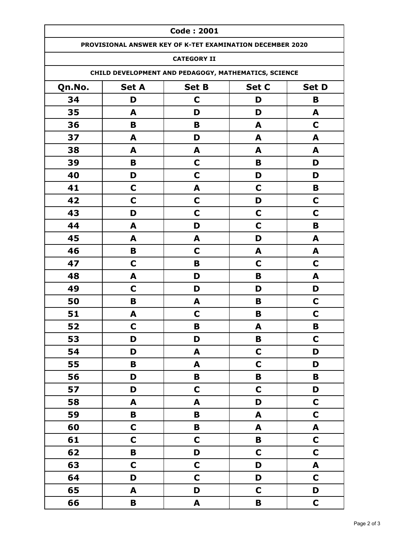|        | <b>Code: 2001</b>                                     |                                                           |              |                  |  |  |  |
|--------|-------------------------------------------------------|-----------------------------------------------------------|--------------|------------------|--|--|--|
|        |                                                       | PROVISIONAL ANSWER KEY OF K-TET EXAMINATION DECEMBER 2020 |              |                  |  |  |  |
|        |                                                       | <b>CATEGORY II</b>                                        |              |                  |  |  |  |
|        |                                                       | CHILD DEVELOPMENT AND PEDAGOGY, MATHEMATICS, SCIENCE      |              |                  |  |  |  |
| Qn.No. | <b>Set A</b><br><b>Set B</b><br>Set C<br><b>Set D</b> |                                                           |              |                  |  |  |  |
| 34     | D                                                     | C                                                         | D            | B                |  |  |  |
| 35     | A                                                     | D                                                         | D            | A                |  |  |  |
| 36     | B                                                     | B                                                         | A            | $\mathbf C$      |  |  |  |
| 37     | A                                                     | D                                                         | A            | A                |  |  |  |
| 38     | A                                                     | A                                                         | A            | A                |  |  |  |
| 39     | B                                                     | C                                                         | B            | D                |  |  |  |
| 40     | D                                                     | C                                                         | D            | D                |  |  |  |
| 41     | $\mathbf C$                                           | A                                                         | C            | B                |  |  |  |
| 42     | C                                                     | $\mathbf C$                                               | D            | C                |  |  |  |
| 43     | D                                                     | C                                                         | $\mathbf C$  | C                |  |  |  |
| 44     | A                                                     | D                                                         | C            | B                |  |  |  |
| 45     | A                                                     | A                                                         | D            | A                |  |  |  |
| 46     | B                                                     | C                                                         | A            | A                |  |  |  |
| 47     | C                                                     | B                                                         | $\mathbf C$  | C                |  |  |  |
| 48     | A                                                     | D                                                         | B            | A                |  |  |  |
| 49     | C                                                     | D                                                         | D            | D                |  |  |  |
| 50     | B                                                     | A                                                         | B            | C                |  |  |  |
| 51     | A                                                     | C                                                         | B            | C                |  |  |  |
| 52     | C                                                     | B                                                         | A            | В                |  |  |  |
| 53     | D                                                     | D                                                         | $\, {\bf B}$ | $\mathbf C$      |  |  |  |
| 54     | D                                                     | A                                                         | $\mathbf C$  | D                |  |  |  |
| 55     | B                                                     | A                                                         | $\mathbf C$  | D                |  |  |  |
| 56     | D                                                     | $\mathbf B$                                               | B            | B                |  |  |  |
| 57     | D                                                     | $\mathbf C$                                               | $\mathbf C$  | D                |  |  |  |
| 58     | A                                                     | A                                                         | D            | $\mathbf C$      |  |  |  |
| 59     | B                                                     | $\mathbf B$                                               | A            | $\mathbf C$      |  |  |  |
| 60     | $\mathbf C$                                           | $\pmb B$                                                  | A            | $\boldsymbol{A}$ |  |  |  |
| 61     | $\mathbf C$                                           | $\mathbf C$                                               | $\, {\bf B}$ | $\mathbf C$      |  |  |  |
| 62     | $\pmb B$                                              | D                                                         | $\mathbf C$  | $\mathbf C$      |  |  |  |
| 63     | $\mathbf C$                                           | $\mathbf C$                                               | D            | A                |  |  |  |
| 64     | D                                                     | $\mathbf C$                                               | D            | $\mathbf C$      |  |  |  |
| 65     | A                                                     | D                                                         | $\mathbf C$  | D                |  |  |  |
| 66     | $\mathbf B$                                           | $\mathbf{A}$                                              | B            | $\mathbf C$      |  |  |  |